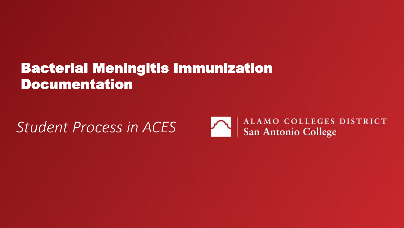# *Student Process in ACES*

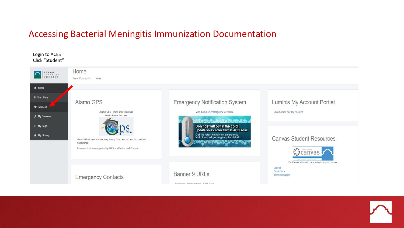### Login to ACES Click "Student"



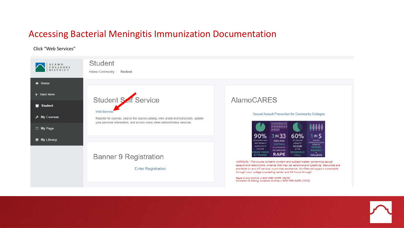#### Click "Web Services"

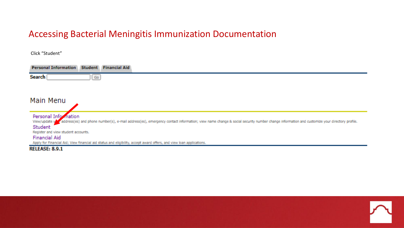Click "Student"

| <b>Personal Information Student Financial Aid</b>                                                                                                                                                                               |
|---------------------------------------------------------------------------------------------------------------------------------------------------------------------------------------------------------------------------------|
| Search  <br>Go                                                                                                                                                                                                                  |
|                                                                                                                                                                                                                                 |
| Main Menu                                                                                                                                                                                                                       |
| Personal Information<br>View/update your address(es) and phone number(s), e-mail address(es), emergency contact information; view name change & social security number change information and customize your directory profile. |
| Student                                                                                                                                                                                                                         |
| Register and view student accounts.                                                                                                                                                                                             |
| <b>Financial Aid</b>                                                                                                                                                                                                            |
| Apply for Financial Aid; View financial aid status and eligibility, accept award offers, and view loan applications.                                                                                                            |
| <b>RELEASE: 8.9.1</b>                                                                                                                                                                                                           |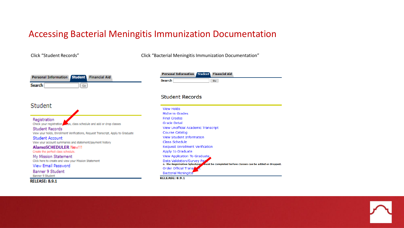Click "Student Records" Click "Bacterial Meningitis Immunization Documentation"

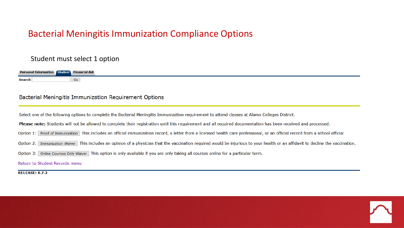# Bacterial Meningitis Immunization Compliance Options

### Student must select 1 option

| <b>Personal Information Student Financial Aid</b> |    |
|---------------------------------------------------|----|
| Search                                            | Go |

### Bacterial Meningitis Immunization Requirement Options

Select one of the following options to complete the Bacterial Meningitis Immunization requirement to attend classes at Alamo Colleges District.

Please note: Students will not be allowed to complete their registration until this requirement and all required documentation has been received and processed.

Option 1: Proof of Immunization This includes an official immunization record, a letter from a licensed health care professional, or an official record from a school official

- Option 2: Immunization Waiver This includes an opinion of a physician that the vaccination required would be injurious to your health or an affidavit to decline the vaccination.
- Option 3: Online Courses Only Waiver This option is only available if you are only taking all courses online for a particular term.

Return to Student Records menu

**RELEASE: 8.7.2** 

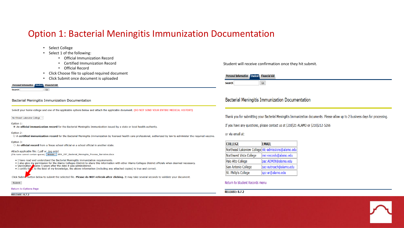## Option 1: Bacterial Meningitis Immunization Documentation

- Select College
- Select 1 of the following:
	- Official Immunization Record
	- Certified Immunization Record
	- Official Record
- Click Choose file to upload required document
- Click Submit once document is uploaded

#### udent Financial Aid

Go

#### **Bacterial Meningitis Immunization Documentation**

Select your home college and one of the applicable options below and attach the applicable document. (DO NOT SEND YOUR ENTIRE MEDICAL HISTORY)

Northeast Lakeview College v

#### Option 1:

◉ An official immunization record for the Bacterial Meningitis Immunization issued by a state or local health authority.

#### Option 2:

O A certified immunization record for the Bacterial Meningitis Immunization by licensed health care professional, authorized by law to administer the required vaccine.

#### Option 3:

O An official record from a Texas school official or a school official in another state.

Attach applicable file: (.pdf or .jpg only) (File name cannot contain spaces) Browse... BPA\_297\_Bacterial\_Meningitis\_Process\_Narrative.docx

. I have read and understand the Bacterial Meningitis immunization requirements.

. I also give my permission for the Alamo Colleges District to share this information with other Alamo Colleges District officials when deemed necessary.

• Vaccination **Apires 5** years after the date it was administered.

 $\bullet$  I certify th to the best of my knowledge, the above information (including any attached copies) is true and correct.

Click Submic button below to submit the selected file. Please do NOT refresh after clicking. It may take several seconds to validate your document.

#### Submit

#### Return to Options Page

**RELEASE: 8.7.2** 

Student will receive confirmation once they hit submit.

| -Pe<br>aρnτ<br>anal Informace | <b>Financial Aid</b> |
|-------------------------------|----------------------|
| loare.<br>əcare.              | Go                   |

**Bacterial Meningitis Immunization Documentation** 

Thank you for submitting your Bacterial Meningitis Immunization documents. Please allow up to 2 business days for processing.

If you have any questions, please contact us at (210)21-ALAMO or (210)212-5266

#### or via email at:

| <b>COLLEGE</b>                                      | <b>EMAIL</b>           |
|-----------------------------------------------------|------------------------|
| Northeast Lakeview College nIc-admissions@alamo.edu |                        |
| Northwest Vista College                             | nvc-records@alamo.edu  |
| Palo Alto College                                   | pac-ADMIN@alamo.edu    |
| San Antonio College                                 | sac-outreach@alamo.edu |
| St. Philip's College                                | spc-ar@alamo.edu       |

#### Return to Student Records menu

#### **RELEASE: 8.7.2**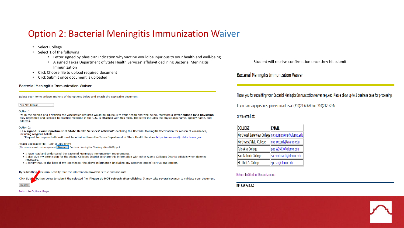# Option 2: Bacterial Meningitis Immunization Waiver

- Select College
- Select 1 of the following:
	- Letter signed by physician indication why vaccine would be injurious to your health and well-being
	- A signed Texas Department of State Health Services' affidavit declining Bacterial Meningitis Immunization
- Click Choose file to upload required document
- Click Submit once document is uploaded

#### **Bacterial Meningitis Immunization Waiver**

Select your home college and one of the options below and attach the applicable document.

#### Palo Alto College

#### Option 1:

In the opinion of a physician the vaccination required would be injurious to your health and well-being, therefore a letter signed by a physician duly registered and licensed to practice medicine in the U.S. is attached with this form. The letter includes the physician's name, agency name, and address.

#### Option 2:

- A signed Texas Department of State Health Services' affidavit<sup>\*</sup> declining the Bacterial Meningitis Vaccination for reason of conscience, including religious beliefs
- \*Request for required affidavit must be obtained from the Texas Department of State Health Services https://corequestjc.dshs.texas.gov.

Attach applicable file: (.pdf or .jpg only) (File name cannot contain spaces) Browse... Bacterial\_Meningitis\_Training\_(Nov2020).pdf

- I have read and understand the Bacterial Meningitis immunization requirements.
- . I also give my permission for the Alamo Colleges District to share this information with other Alamo Colleges District officials when deemed necessary
- . I certify that, to the best of my knowledge, the above information (including any attached copies) is true and correct.

By submitting is form I certify that the information provided is true and accurate.

button below to submit the selected file. Please do NOT refresh after clicking. It may take several seconds to validate your document. **Click Sub** 

Submit

#### Return to Options Page

Student will receive confirmation once they hit submit.

### Bacterial Meningitis Immunization Waiver

Thank you for submitting your Bacterial Meningitis Immunization waiver request. Please allow up to 2 business days for processing.

If you have any questions, please contact us at (210)21-ALAMO or (210)212-5266

or via email at:

| <b>COLLEGE</b>                                      | <b>EMAIL</b>           |
|-----------------------------------------------------|------------------------|
| Northeast Lakeview College nlc-admissions@alamo.edu |                        |
| Northwest Vista College                             | nvc-records@alamo.edu  |
| Palo Alto College                                   | pac-ADMIN@alamo.edu    |
| San Antonio College                                 | sac-outreach@alamo.edu |
| St. Philip's College                                | spc-ar@alamo.edu       |

### Return to Student Records menu

**RELEASE: 8.7.2**